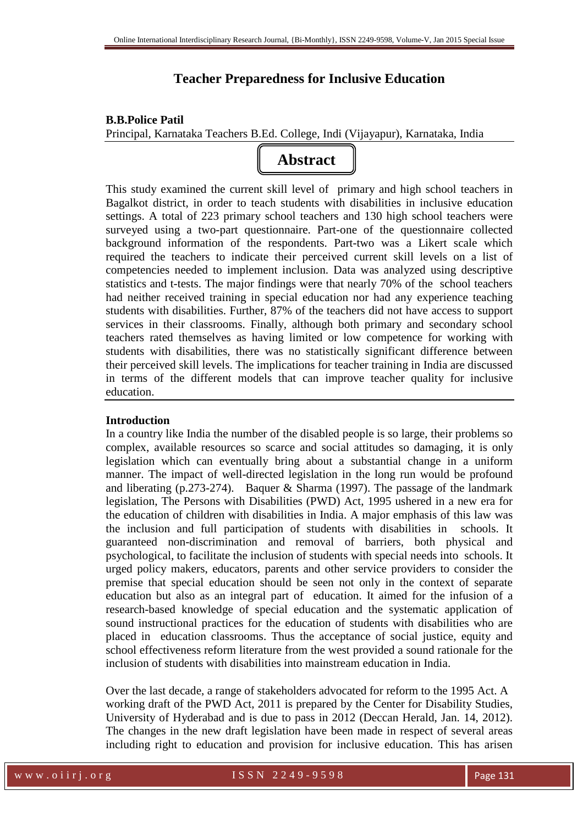# **Teacher Preparedness for Inclusive Education**

# **B.B.Police Patil**

Principal, Karnataka Teachers B.Ed. College, Indi (Vijayapur), Karnataka, India



This study examined the current skill level of primary and high school teachers in Bagalkot district, in order to teach students with disabilities in inclusive education settings. A total of 223 primary school teachers and 130 high school teachers were surveyed using a two-part questionnaire. Part-one of the questionnaire collected background information of the respondents. Part-two was a Likert scale which required the teachers to indicate their perceived current skill levels on a list of competencies needed to implement inclusion. Data was analyzed using descriptive statistics and t-tests. The major findings were that nearly 70% of the school teachers had neither received training in special education nor had any experience teaching students with disabilities. Further, 87% of the teachers did not have access to support services in their classrooms. Finally, although both primary and secondary school teachers rated themselves as having limited or low competence for working with students with disabilities, there was no statistically significant difference between their perceived skill levels. The implications for teacher training in India are discussed in terms of the different models that can improve teacher quality for inclusive education.

## **Introduction**

In a country like India the number of the disabled people is so large, their problems so complex, available resources so scarce and social attitudes so damaging, it is only legislation which can eventually bring about a substantial change in a uniform manner. The impact of well-directed legislation in the long run would be profound and liberating (p.273-274). Baquer & Sharma (1997). The passage of the landmark legislation, The Persons with Disabilities (PWD) Act, 1995 ushered in a new era for the education of children with disabilities in India. A major emphasis of this law was the inclusion and full participation of students with disabilities in schools. It guaranteed non-discrimination and removal of barriers, both physical and psychological, to facilitate the inclusion of students with special needs into schools. It urged policy makers, educators, parents and other service providers to consider the premise that special education should be seen not only in the context of separate education but also as an integral part of education. It aimed for the infusion of a research-based knowledge of special education and the systematic application of sound instructional practices for the education of students with disabilities who are placed in education classrooms. Thus the acceptance of social justice, equity and school effectiveness reform literature from the west provided a sound rationale for the inclusion of students with disabilities into mainstream education in India.

Over the last decade, a range of stakeholders advocated for reform to the 1995 Act. A working draft of the PWD Act, 2011 is prepared by the Center for Disability Studies, University of Hyderabad and is due to pass in 2012 (Deccan Herald, Jan. 14, 2012). The changes in the new draft legislation have been made in respect of several areas including right to education and provision for inclusive education. This has arisen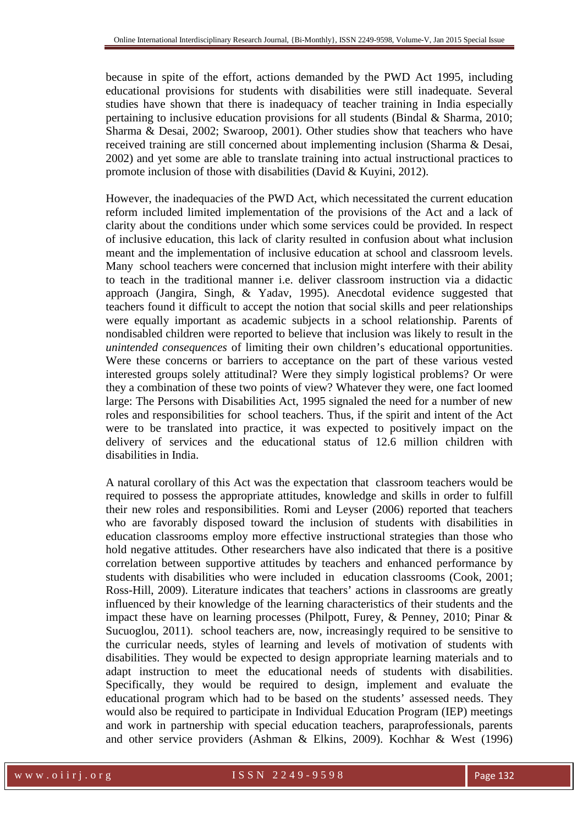because in spite of the effort, actions demanded by the PWD Act 1995, including educational provisions for students with disabilities were still inadequate. Several studies have shown that there is inadequacy of teacher training in India especially pertaining to inclusive education provisions for all students (Bindal & Sharma, 2010; Sharma & Desai, 2002; Swaroop, 2001). Other studies show that teachers who have received training are still concerned about implementing inclusion (Sharma & Desai, 2002) and yet some are able to translate training into actual instructional practices to promote inclusion of those with disabilities (David & Kuyini, 2012).

However, the inadequacies of the PWD Act, which necessitated the current education reform included limited implementation of the provisions of the Act and a lack of clarity about the conditions under which some services could be provided. In respect of inclusive education, this lack of clarity resulted in confusion about what inclusion meant and the implementation of inclusive education at school and classroom levels. Many school teachers were concerned that inclusion might interfere with their ability to teach in the traditional manner i.e. deliver classroom instruction via a didactic approach (Jangira, Singh, & Yadav, 1995). Anecdotal evidence suggested that teachers found it difficult to accept the notion that social skills and peer relationships were equally important as academic subjects in a school relationship. Parents of nondisabled children were reported to believe that inclusion was likely to result in the *unintended consequences* of limiting their own children's educational opportunities. Were these concerns or barriers to acceptance on the part of these various vested interested groups solely attitudinal? Were they simply logistical problems? Or were they a combination of these two points of view? Whatever they were, one fact loomed large: The Persons with Disabilities Act, 1995 signaled the need for a number of new roles and responsibilities for school teachers. Thus, if the spirit and intent of the Act were to be translated into practice, it was expected to positively impact on the delivery of services and the educational status of 12.6 million children with disabilities in India.

A natural corollary of this Act was the expectation that classroom teachers would be required to possess the appropriate attitudes, knowledge and skills in order to fulfill their new roles and responsibilities. Romi and Leyser (2006) reported that teachers who are favorably disposed toward the inclusion of students with disabilities in education classrooms employ more effective instructional strategies than those who hold negative attitudes. Other researchers have also indicated that there is a positive correlation between supportive attitudes by teachers and enhanced performance by students with disabilities who were included in education classrooms (Cook, 2001; Ross-Hill, 2009). Literature indicates that teachers' actions in classrooms are greatly influenced by their knowledge of the learning characteristics of their students and the impact these have on learning processes (Philpott, Furey, & Penney, 2010; Pinar & Sucuoglou, 2011). school teachers are, now, increasingly required to be sensitive to the curricular needs, styles of learning and levels of motivation of students with disabilities. They would be expected to design appropriate learning materials and to adapt instruction to meet the educational needs of students with disabilities. Specifically, they would be required to design, implement and evaluate the educational program which had to be based on the students' assessed needs. They would also be required to participate in Individual Education Program (IEP) meetings and work in partnership with special education teachers, paraprofessionals, parents and other service providers (Ashman & Elkins, 2009). Kochhar & West (1996)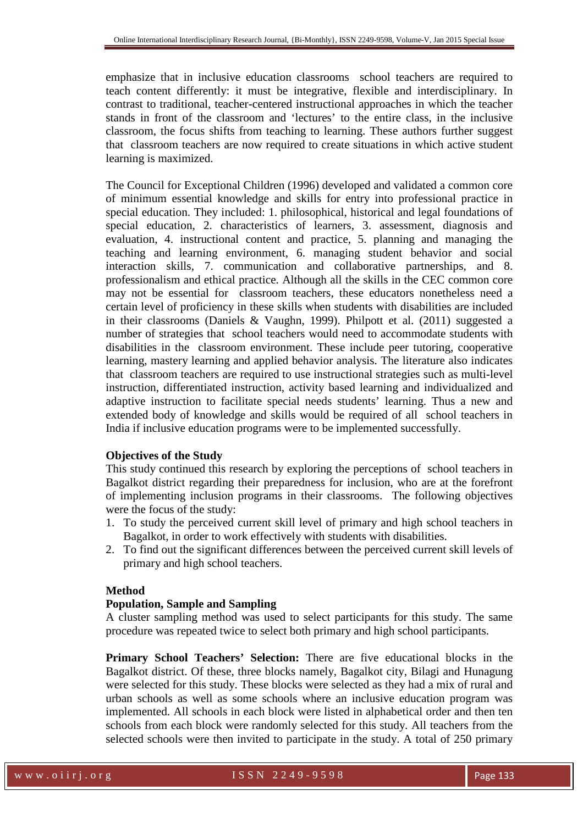emphasize that in inclusive education classrooms school teachers are required to teach content differently: it must be integrative, flexible and interdisciplinary. In contrast to traditional, teacher-centered instructional approaches in which the teacher stands in front of the classroom and 'lectures' to the entire class, in the inclusive classroom, the focus shifts from teaching to learning. These authors further suggest that classroom teachers are now required to create situations in which active student learning is maximized.

The Council for Exceptional Children (1996) developed and validated a common core of minimum essential knowledge and skills for entry into professional practice in special education. They included: 1. philosophical, historical and legal foundations of special education, 2. characteristics of learners, 3. assessment, diagnosis and evaluation, 4. instructional content and practice, 5. planning and managing the teaching and learning environment, 6. managing student behavior and social interaction skills, 7. communication and collaborative partnerships, and 8. professionalism and ethical practice. Although all the skills in the CEC common core may not be essential for classroom teachers, these educators nonetheless need a certain level of proficiency in these skills when students with disabilities are included in their classrooms (Daniels & Vaughn, 1999). Philpott et al. (2011) suggested a number of strategies that school teachers would need to accommodate students with disabilities in the classroom environment. These include peer tutoring, cooperative learning, mastery learning and applied behavior analysis. The literature also indicates that classroom teachers are required to use instructional strategies such as multi-level instruction, differentiated instruction, activity based learning and individualized and adaptive instruction to facilitate special needs students' learning. Thus a new and extended body of knowledge and skills would be required of all school teachers in India if inclusive education programs were to be implemented successfully.

### **Objectives of the Study**

This study continued this research by exploring the perceptions of school teachers in Bagalkot district regarding their preparedness for inclusion, who are at the forefront of implementing inclusion programs in their classrooms.The following objectives were the focus of the study:

- 1. To study the perceived current skill level of primary and high school teachers in Bagalkot, in order to work effectively with students with disabilities.
- 2. To find out the significant differences between the perceived current skill levels of primary and high school teachers.

#### **Method**

#### **Population, Sample and Sampling**

A cluster sampling method was used to select participants for this study. The same procedure was repeated twice to select both primary and high school participants.

**Primary School Teachers' Selection:** There are five educational blocks in the Bagalkot district. Of these, three blocks namely, Bagalkot city, Bilagi and Hunagung were selected for this study. These blocks were selected as they had a mix of rural and urban schools as well as some schools where an inclusive education program was implemented. All schools in each block were listed in alphabetical order and then ten schools from each block were randomly selected for this study. All teachers from the selected schools were then invited to participate in the study. A total of 250 primary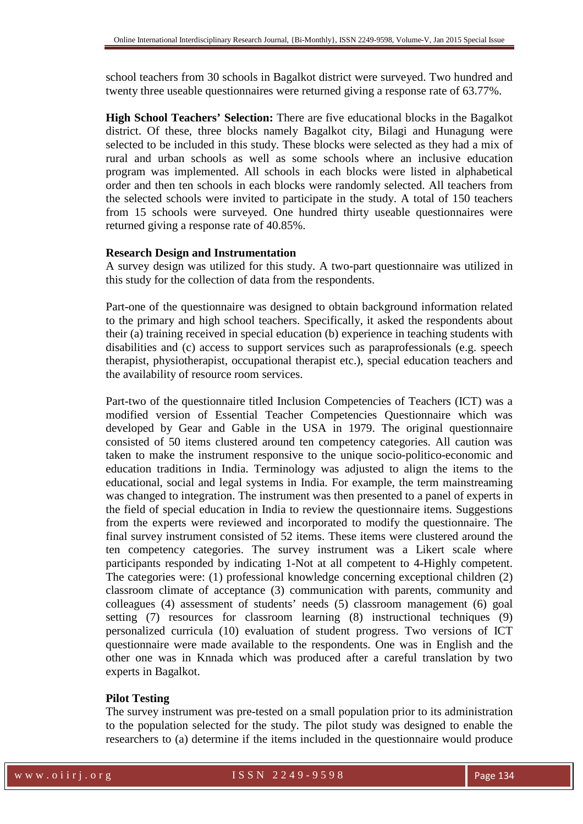school teachers from 30 schools in Bagalkot district were surveyed. Two hundred and twenty three useable questionnaires were returned giving a response rate of 63.77%.

**High School Teachers' Selection:** There are five educational blocks in the Bagalkot district. Of these, three blocks namely Bagalkot city, Bilagi and Hunagung were selected to be included in this study. These blocks were selected as they had a mix of rural and urban schools as well as some schools where an inclusive education program was implemented. All schools in each blocks were listed in alphabetical order and then ten schools in each blocks were randomly selected. All teachers from the selected schools were invited to participate in the study. A total of 150 teachers from 15 schools were surveyed. One hundred thirty useable questionnaires were returned giving a response rate of 40.85%.

#### **Research Design and Instrumentation**

A survey design was utilized for this study. A two-part questionnaire was utilized in this study for the collection of data from the respondents.

Part-one of the questionnaire was designed to obtain background information related to the primary and high school teachers. Specifically, it asked the respondents about their (a) training received in special education (b) experience in teaching students with disabilities and (c) access to support services such as paraprofessionals (e.g. speech therapist, physiotherapist, occupational therapist etc.), special education teachers and the availability of resource room services.

Part-two of the questionnaire titled Inclusion Competencies of Teachers (ICT) was a modified version of Essential Teacher Competencies Questionnaire which was developed by Gear and Gable in the USA in 1979. The original questionnaire consisted of 50 items clustered around ten competency categories. All caution was taken to make the instrument responsive to the unique socio-politico-economic and education traditions in India. Terminology was adjusted to align the items to the educational, social and legal systems in India. For example, the term mainstreaming was changed to integration. The instrument was then presented to a panel of experts in the field of special education in India to review the questionnaire items. Suggestions from the experts were reviewed and incorporated to modify the questionnaire. The final survey instrument consisted of 52 items. These items were clustered around the ten competency categories. The survey instrument was a Likert scale where participants responded by indicating 1-Not at all competent to 4-Highly competent. The categories were: (1) professional knowledge concerning exceptional children (2) classroom climate of acceptance (3) communication with parents, community and colleagues (4) assessment of students' needs (5) classroom management (6) goal setting (7) resources for classroom learning (8) instructional techniques (9) personalized curricula (10) evaluation of student progress. Two versions of ICT questionnaire were made available to the respondents. One was in English and the other one was in Knnada which was produced after a careful translation by two experts in Bagalkot.

#### **Pilot Testing**

The survey instrument was pre-tested on a small population prior to its administration to the population selected for the study. The pilot study was designed to enable the researchers to (a) determine if the items included in the questionnaire would produce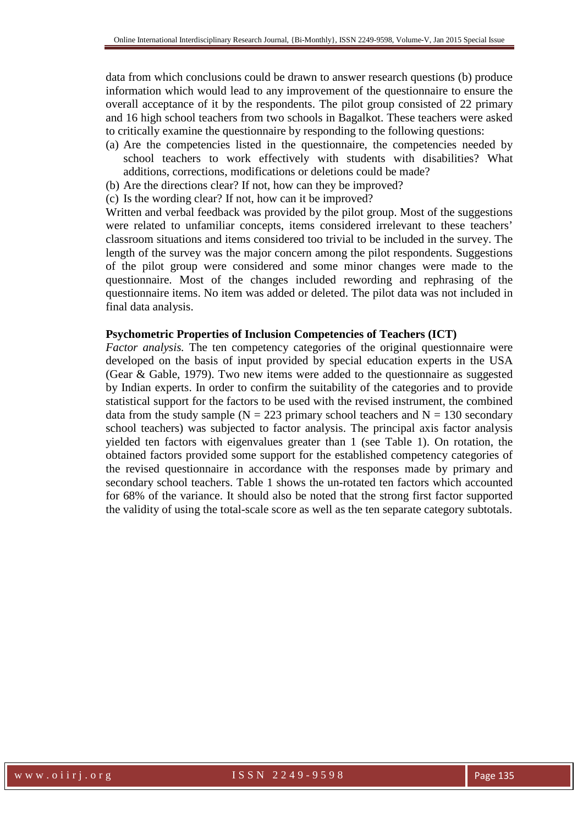data from which conclusions could be drawn to answer research questions (b) produce information which would lead to any improvement of the questionnaire to ensure the overall acceptance of it by the respondents. The pilot group consisted of 22 primary and 16 high school teachers from two schools in Bagalkot. These teachers were asked to critically examine the questionnaire by responding to the following questions:

- (a) Are the competencies listed in the questionnaire, the competencies needed by school teachers to work effectively with students with disabilities? What additions, corrections, modifications or deletions could be made?
- (b) Are the directions clear? If not, how can they be improved?
- (c) Is the wording clear? If not, how can it be improved?

Written and verbal feedback was provided by the pilot group. Most of the suggestions were related to unfamiliar concepts, items considered irrelevant to these teachers' classroom situations and items considered too trivial to be included in the survey. The length of the survey was the major concern among the pilot respondents. Suggestions of the pilot group were considered and some minor changes were made to the questionnaire. Most of the changes included rewording and rephrasing of the questionnaire items. No item was added or deleted. The pilot data was not included in final data analysis.

#### **Psychometric Properties of Inclusion Competencies of Teachers (ICT)**

*Factor analysis.* The ten competency categories of the original questionnaire were developed on the basis of input provided by special education experts in the USA (Gear & Gable, 1979). Two new items were added to the questionnaire as suggested by Indian experts. In order to confirm the suitability of the categories and to provide statistical support for the factors to be used with the revised instrument, the combined data from the study sample ( $N = 223$  primary school teachers and  $N = 130$  secondary school teachers) was subjected to factor analysis. The principal axis factor analysis yielded ten factors with eigenvalues greater than 1 (see Table 1). On rotation, the obtained factors provided some support for the established competency categories of the revised questionnaire in accordance with the responses made by primary and secondary school teachers. Table 1 shows the un-rotated ten factors which accounted for 68% of the variance. It should also be noted that the strong first factor supported the validity of using the total-scale score as well as the ten separate category subtotals.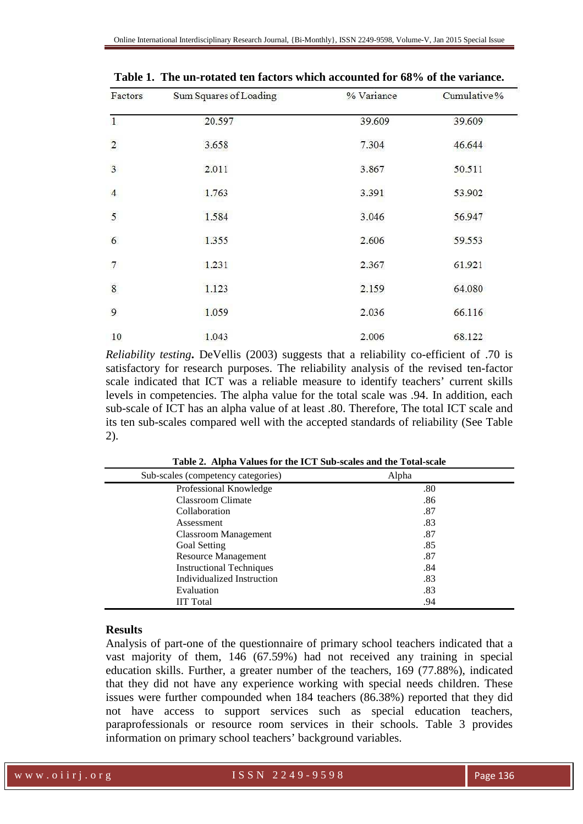| Factors                 | Sum Squares of Loading | % Variance | Cumulative% |  |
|-------------------------|------------------------|------------|-------------|--|
| $\mathbf{1}$            | 20.597                 | 39.609     | 39.609      |  |
| $\overline{\mathbf{c}}$ | 3.658                  | 7.304      | 46.644      |  |
| $\overline{3}$          | 2.011                  | 3.867      | 50.511      |  |
| $\overline{4}$          | 1.763                  | 3.391      | 53.902      |  |
| 5                       | 1.584                  | 3.046      | 56.947      |  |
| 6                       | 1.355                  | 2.606      | 59.553      |  |
| 7                       | 1.231                  | 2.367      | 61.921      |  |
| $\bf 8$                 | 1.123                  | 2.159      | 64.080      |  |
| 9                       | 1.059                  | 2.036      | 66.116      |  |
| 10                      | 1.043                  | 2.006      | 68.122      |  |

**Table 1. The un-rotated ten factors which accounted for 68% of the variance.** 

*Reliability testing***.** DeVellis (2003) suggests that a reliability co-efficient of .70 is satisfactory for research purposes. The reliability analysis of the revised ten-factor scale indicated that ICT was a reliable measure to identify teachers' current skills levels in competencies. The alpha value for the total scale was .94. In addition, each sub-scale of ICT has an alpha value of at least .80. Therefore, The total ICT scale and its ten sub-scales compared well with the accepted standards of reliability (See Table 2).

| Sub-scales (competency categories) | Alpha |
|------------------------------------|-------|
| Professional Knowledge             | .80   |
| Classroom Climate                  | .86   |
| Collaboration                      | .87   |
| Assessment                         | .83   |
| Classroom Management               | .87   |
| Goal Setting                       | .85   |
| <b>Resource Management</b>         | .87   |
| <b>Instructional Techniques</b>    | .84   |
| Individualized Instruction         | .83   |
| Evaluation                         | .83   |
| <b>IIT Total</b>                   | .94   |

**Table 2. Alpha Values for the ICT Sub-scales and the Total-scale** 

#### **Results**

Analysis of part-one of the questionnaire of primary school teachers indicated that a vast majority of them, 146 (67.59%) had not received any training in special education skills. Further, a greater number of the teachers, 169 (77.88%), indicated that they did not have any experience working with special needs children. These issues were further compounded when 184 teachers (86.38%) reported that they did not have access to support services such as special education teachers, paraprofessionals or resource room services in their schools. Table 3 provides information on primary school teachers' background variables.

w w w . o i i r j . o r g and the set of SSN 2249-9598 Page 136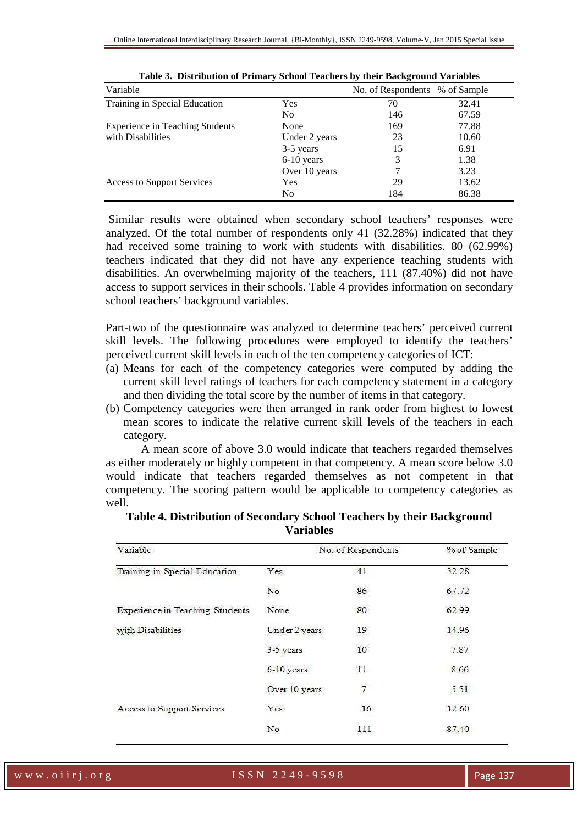| Variable                               |                | No. of Respondents % of Sample |       |
|----------------------------------------|----------------|--------------------------------|-------|
| Training in Special Education          | <b>Yes</b>     | 70                             | 32.41 |
|                                        | N <sub>0</sub> | 146                            | 67.59 |
| <b>Experience in Teaching Students</b> | None           | 169                            | 77.88 |
| with Disabilities                      | Under 2 years  | 23                             | 10.60 |
|                                        | 3-5 years      | 15                             | 6.91  |
|                                        | $6-10$ years   | 3                              | 1.38  |
|                                        | Over 10 years  |                                | 3.23  |
| Access to Support Services             | Yes            | 29                             | 13.62 |
|                                        | N <sub>0</sub> | 184                            | 86.38 |

| Table 3. Distribution of Primary School Teachers by their Background Variables |  |  |  |
|--------------------------------------------------------------------------------|--|--|--|
|                                                                                |  |  |  |

 Similar results were obtained when secondary school teachers' responses were analyzed. Of the total number of respondents only 41 (32.28%) indicated that they had received some training to work with students with disabilities. 80 (62.99%) teachers indicated that they did not have any experience teaching students with disabilities. An overwhelming majority of the teachers, 111 (87.40%) did not have access to support services in their schools. Table 4 provides information on secondary school teachers' background variables.

Part-two of the questionnaire was analyzed to determine teachers' perceived current skill levels. The following procedures were employed to identify the teachers' perceived current skill levels in each of the ten competency categories of ICT:

- (a) Means for each of the competency categories were computed by adding the current skill level ratings of teachers for each competency statement in a category and then dividing the total score by the number of items in that category.
- (b) Competency categories were then arranged in rank order from highest to lowest mean scores to indicate the relative current skill levels of the teachers in each category.

A mean score of above 3.0 would indicate that teachers regarded themselves as either moderately or highly competent in that competency. A mean score below 3.0 would indicate that teachers regarded themselves as not competent in that competency. The scoring pattern would be applicable to competency categories as well.

| Variable                               | No. of Respondents |                   | % of Sample |  |
|----------------------------------------|--------------------|-------------------|-------------|--|
| Training in Special Education          | Yes                | 41                | 32.28       |  |
|                                        | No                 | 86                | 67.72       |  |
| <b>Experience in Teaching Students</b> | None               | 80                | 62.99       |  |
| with Disabilities                      | Under 2 years      | 19                | 14.96       |  |
|                                        | 3-5 years          | 10                | 7.87        |  |
|                                        | $6-10$ years       | 11                | 8.66        |  |
|                                        | Over 10 years      | $\overline{\tau}$ | 5.51        |  |
| Access to Support Services             | Yes                | 16                | 12.60       |  |
|                                        | No                 | 111               | 87.40       |  |

| Table 4. Distribution of Secondary School Teachers by their Background |  |
|------------------------------------------------------------------------|--|
| <b>Variables</b>                                                       |  |

w w w . o i i r j . o r g i second to see TSSN 2249-9598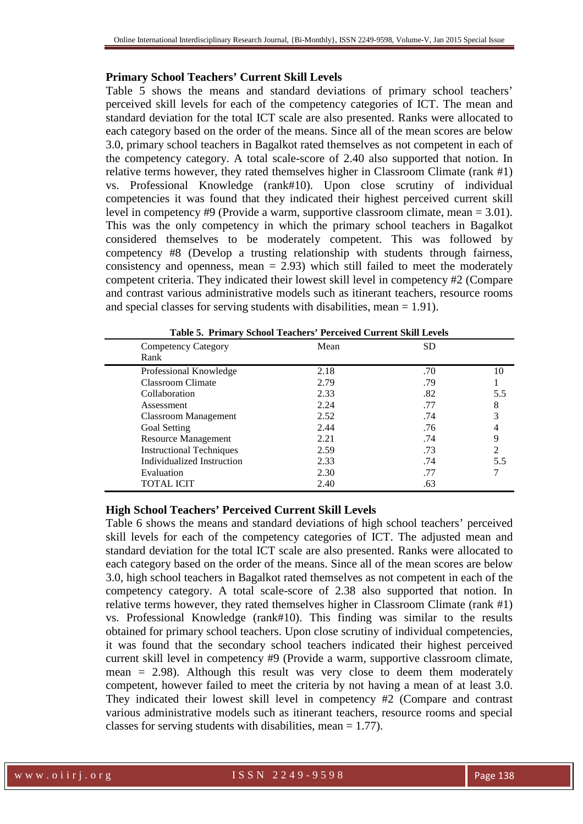#### **Primary School Teachers' Current Skill Levels**

Table 5 shows the means and standard deviations of primary school teachers' perceived skill levels for each of the competency categories of ICT. The mean and standard deviation for the total ICT scale are also presented. Ranks were allocated to each category based on the order of the means. Since all of the mean scores are below 3.0, primary school teachers in Bagalkot rated themselves as not competent in each of the competency category. A total scale-score of 2.40 also supported that notion. In relative terms however, they rated themselves higher in Classroom Climate (rank #1) vs. Professional Knowledge (rank#10). Upon close scrutiny of individual competencies it was found that they indicated their highest perceived current skill level in competency #9 (Provide a warm, supportive classroom climate, mean = 3.01). This was the only competency in which the primary school teachers in Bagalkot considered themselves to be moderately competent. This was followed by competency #8 (Develop a trusting relationship with students through fairness, consistency and openness, mean  $= 2.93$ ) which still failed to meet the moderately competent criteria. They indicated their lowest skill level in competency #2 (Compare and contrast various administrative models such as itinerant teachers, resource rooms and special classes for serving students with disabilities, mean  $= 1.91$ ).

| <b>Competency Category</b><br>Rank | Mean | <b>SD</b> |     |
|------------------------------------|------|-----------|-----|
| Professional Knowledge             | 2.18 | .70       | 10  |
| Classroom Climate                  | 2.79 | .79       |     |
| Collaboration                      | 2.33 | .82       | 5.5 |
| Assessment                         | 2.24 | .77       | 8   |
| <b>Classroom Management</b>        | 2.52 | .74       |     |
| Goal Setting                       | 2.44 | .76       |     |
| Resource Management                | 2.21 | .74       |     |
| <b>Instructional Techniques</b>    | 2.59 | .73       |     |
| Individualized Instruction         | 2.33 | .74       | 5.5 |
| Evaluation                         | 2.30 | .77       |     |
| TOTAL ICIT                         | 2.40 | .63       |     |

**Table 5. Primary School Teachers' Perceived Current Skill Levels** 

#### **High School Teachers' Perceived Current Skill Levels**

Table 6 shows the means and standard deviations of high school teachers' perceived skill levels for each of the competency categories of ICT. The adjusted mean and standard deviation for the total ICT scale are also presented. Ranks were allocated to each category based on the order of the means. Since all of the mean scores are below 3.0, high school teachers in Bagalkot rated themselves as not competent in each of the competency category. A total scale-score of 2.38 also supported that notion. In relative terms however, they rated themselves higher in Classroom Climate (rank #1) vs. Professional Knowledge (rank#10). This finding was similar to the results obtained for primary school teachers. Upon close scrutiny of individual competencies, it was found that the secondary school teachers indicated their highest perceived current skill level in competency #9 (Provide a warm, supportive classroom climate, mean  $= 2.98$ ). Although this result was very close to deem them moderately competent, however failed to meet the criteria by not having a mean of at least 3.0. They indicated their lowest skill level in competency #2 (Compare and contrast various administrative models such as itinerant teachers, resource rooms and special classes for serving students with disabilities, mean = 1.77).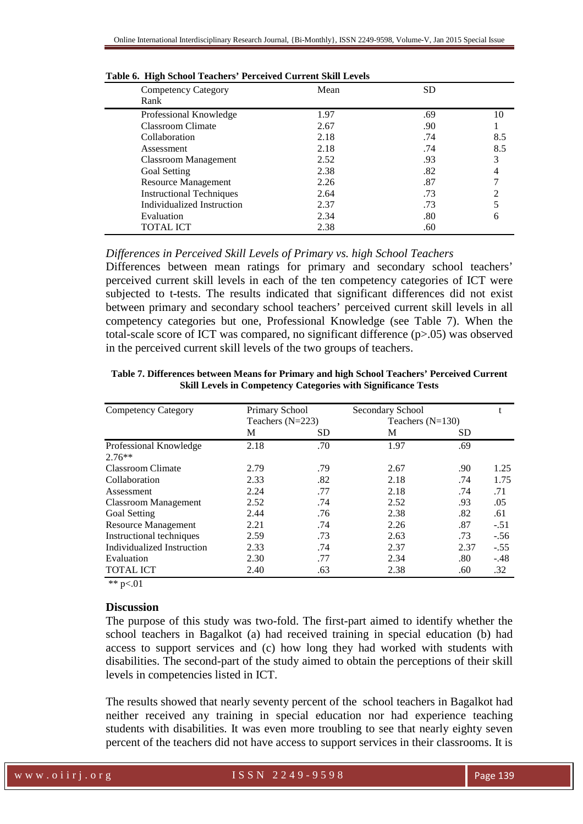| <b>Competency Category</b><br>Rank | Mean | SD  |     |
|------------------------------------|------|-----|-----|
| Professional Knowledge             | 1.97 | .69 | 10  |
| Classroom Climate                  | 2.67 | .90 |     |
| Collaboration                      | 2.18 | .74 | 8.5 |
| Assessment                         | 2.18 | .74 | 8.5 |
| <b>Classroom Management</b>        | 2.52 | .93 |     |
| Goal Setting                       | 2.38 | .82 |     |
| Resource Management                | 2.26 | .87 |     |
| <b>Instructional Techniques</b>    | 2.64 | .73 |     |
| Individualized Instruction         | 2.37 | .73 |     |
| Evaluation                         | 2.34 | .80 |     |
| TOTAL ICT                          | 2.38 | .60 |     |

|  |  | Table 6. High School Teachers' Perceived Current Skill Levels |  |
|--|--|---------------------------------------------------------------|--|
|  |  |                                                               |  |

#### *Differences in Perceived Skill Levels of Primary vs. high School Teachers*

Differences between mean ratings for primary and secondary school teachers' perceived current skill levels in each of the ten competency categories of ICT were subjected to t-tests. The results indicated that significant differences did not exist between primary and secondary school teachers' perceived current skill levels in all competency categories but one, Professional Knowledge (see Table 7). When the total-scale score of ICT was compared, no significant difference (p>.05) was observed in the perceived current skill levels of the two groups of teachers.

| <b>Competency Category</b>  | Primary School     |           | Secondary School   |           |        |
|-----------------------------|--------------------|-----------|--------------------|-----------|--------|
|                             | Teachers $(N=223)$ |           | Teachers $(N=130)$ |           |        |
|                             | М                  | <b>SD</b> | М                  | <b>SD</b> |        |
| Professional Knowledge      | 2.18               | .70       | 1.97               | .69       |        |
| $2.76**$                    |                    |           |                    |           |        |
| Classroom Climate           | 2.79               | .79       | 2.67               | .90       | 1.25   |
| Collaboration               | 2.33               | .82       | 2.18               | .74       | 1.75   |
| Assessment                  | 2.24               | .77       | 2.18               | .74       | .71    |
| <b>Classroom Management</b> | 2.52               | .74       | 2.52               | .93       | .05    |
| Goal Setting                | 2.44               | .76       | 2.38               | .82       | .61    |
| <b>Resource Management</b>  | 2.21               | .74       | 2.26               | .87       | $-.51$ |
| Instructional techniques    | 2.59               | .73       | 2.63               | .73       | $-.56$ |
| Individualized Instruction  | 2.33               | .74       | 2.37               | 2.37      | $-.55$ |
| Evaluation                  | 2.30               | .77       | 2.34               | .80       | $-.48$ |
| <b>TOTAL ICT</b>            | 2.40               | .63       | 2.38               | .60       | .32    |

**Table 7. Differences between Means for Primary and high School Teachers' Perceived Current Skill Levels in Competency Categories with Significance Tests** 

\*\*  $p<.01$ 

#### **Discussion**

The purpose of this study was two-fold. The first-part aimed to identify whether the school teachers in Bagalkot (a) had received training in special education (b) had access to support services and (c) how long they had worked with students with disabilities. The second-part of the study aimed to obtain the perceptions of their skill levels in competencies listed in ICT.

The results showed that nearly seventy percent of the school teachers in Bagalkot had neither received any training in special education nor had experience teaching students with disabilities. It was even more troubling to see that nearly eighty seven percent of the teachers did not have access to support services in their classrooms. It is

w w w . o i i r j . o r g and the set of  $1$  S S N 2 2 4 9 - 9 5 9 8 Page 139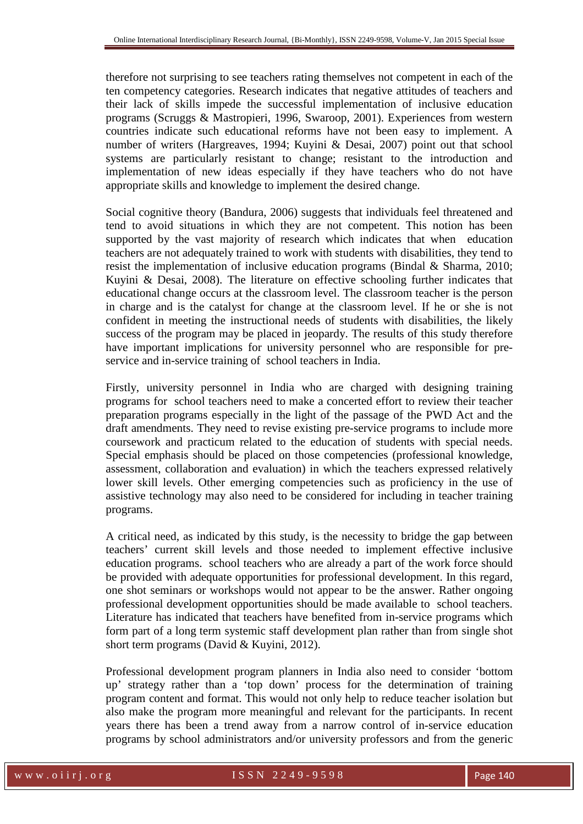therefore not surprising to see teachers rating themselves not competent in each of the ten competency categories. Research indicates that negative attitudes of teachers and their lack of skills impede the successful implementation of inclusive education programs (Scruggs & Mastropieri, 1996, Swaroop, 2001). Experiences from western countries indicate such educational reforms have not been easy to implement. A number of writers (Hargreaves, 1994; Kuyini & Desai, 2007) point out that school systems are particularly resistant to change; resistant to the introduction and implementation of new ideas especially if they have teachers who do not have appropriate skills and knowledge to implement the desired change.

Social cognitive theory (Bandura, 2006) suggests that individuals feel threatened and tend to avoid situations in which they are not competent. This notion has been supported by the vast majority of research which indicates that when education teachers are not adequately trained to work with students with disabilities, they tend to resist the implementation of inclusive education programs (Bindal & Sharma, 2010; Kuyini & Desai, 2008). The literature on effective schooling further indicates that educational change occurs at the classroom level. The classroom teacher is the person in charge and is the catalyst for change at the classroom level. If he or she is not confident in meeting the instructional needs of students with disabilities, the likely success of the program may be placed in jeopardy. The results of this study therefore have important implications for university personnel who are responsible for preservice and in-service training of school teachers in India.

Firstly, university personnel in India who are charged with designing training programs for school teachers need to make a concerted effort to review their teacher preparation programs especially in the light of the passage of the PWD Act and the draft amendments. They need to revise existing pre-service programs to include more coursework and practicum related to the education of students with special needs. Special emphasis should be placed on those competencies (professional knowledge, assessment, collaboration and evaluation) in which the teachers expressed relatively lower skill levels. Other emerging competencies such as proficiency in the use of assistive technology may also need to be considered for including in teacher training programs.

A critical need, as indicated by this study, is the necessity to bridge the gap between teachers' current skill levels and those needed to implement effective inclusive education programs. school teachers who are already a part of the work force should be provided with adequate opportunities for professional development. In this regard, one shot seminars or workshops would not appear to be the answer. Rather ongoing professional development opportunities should be made available to school teachers. Literature has indicated that teachers have benefited from in-service programs which form part of a long term systemic staff development plan rather than from single shot short term programs (David & Kuyini, 2012).

Professional development program planners in India also need to consider 'bottom up' strategy rather than a 'top down' process for the determination of training program content and format. This would not only help to reduce teacher isolation but also make the program more meaningful and relevant for the participants. In recent years there has been a trend away from a narrow control of in-service education programs by school administrators and/or university professors and from the generic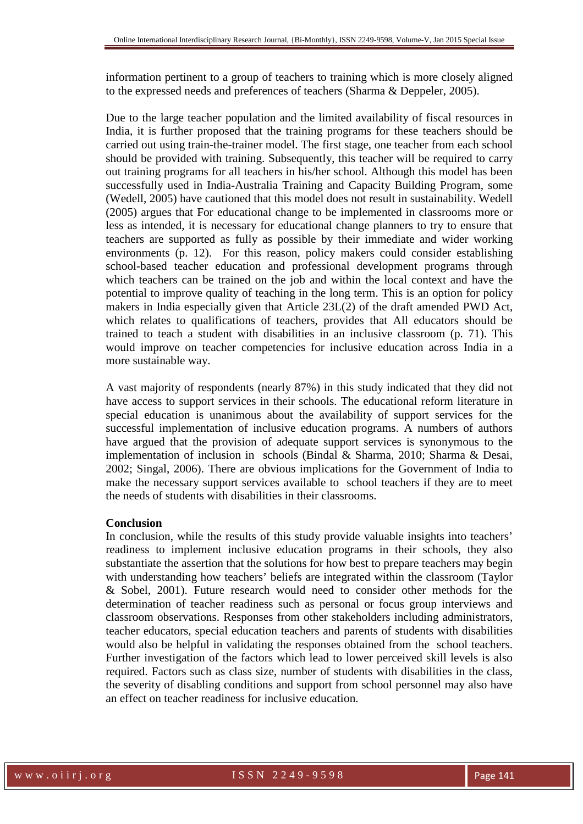information pertinent to a group of teachers to training which is more closely aligned to the expressed needs and preferences of teachers (Sharma & Deppeler, 2005).

Due to the large teacher population and the limited availability of fiscal resources in India, it is further proposed that the training programs for these teachers should be carried out using train-the-trainer model. The first stage, one teacher from each school should be provided with training. Subsequently, this teacher will be required to carry out training programs for all teachers in his/her school. Although this model has been successfully used in India-Australia Training and Capacity Building Program, some (Wedell, 2005) have cautioned that this model does not result in sustainability. Wedell (2005) argues that For educational change to be implemented in classrooms more or less as intended, it is necessary for educational change planners to try to ensure that teachers are supported as fully as possible by their immediate and wider working environments (p. 12). For this reason, policy makers could consider establishing school-based teacher education and professional development programs through which teachers can be trained on the job and within the local context and have the potential to improve quality of teaching in the long term. This is an option for policy makers in India especially given that Article 23L(2) of the draft amended PWD Act, which relates to qualifications of teachers, provides that All educators should be trained to teach a student with disabilities in an inclusive classroom (p. 71). This would improve on teacher competencies for inclusive education across India in a more sustainable way.

A vast majority of respondents (nearly 87%) in this study indicated that they did not have access to support services in their schools. The educational reform literature in special education is unanimous about the availability of support services for the successful implementation of inclusive education programs. A numbers of authors have argued that the provision of adequate support services is synonymous to the implementation of inclusion in schools (Bindal & Sharma, 2010; Sharma & Desai, 2002; Singal, 2006). There are obvious implications for the Government of India to make the necessary support services available to school teachers if they are to meet the needs of students with disabilities in their classrooms.

#### **Conclusion**

In conclusion, while the results of this study provide valuable insights into teachers' readiness to implement inclusive education programs in their schools, they also substantiate the assertion that the solutions for how best to prepare teachers may begin with understanding how teachers' beliefs are integrated within the classroom (Taylor & Sobel, 2001). Future research would need to consider other methods for the determination of teacher readiness such as personal or focus group interviews and classroom observations. Responses from other stakeholders including administrators, teacher educators, special education teachers and parents of students with disabilities would also be helpful in validating the responses obtained from the school teachers. Further investigation of the factors which lead to lower perceived skill levels is also required. Factors such as class size, number of students with disabilities in the class, the severity of disabling conditions and support from school personnel may also have an effect on teacher readiness for inclusive education.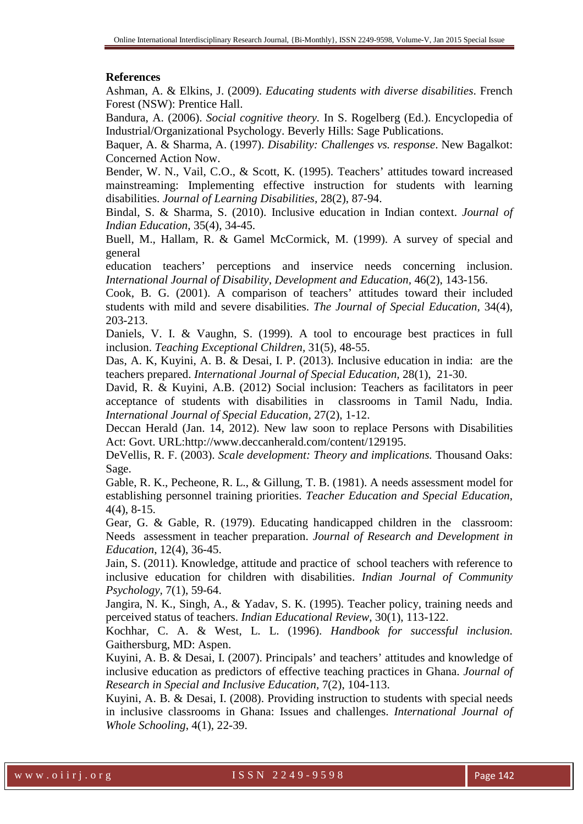### **References**

Ashman, A. & Elkins, J. (2009). *Educating students with diverse disabilities*. French Forest (NSW): Prentice Hall.

Bandura, A. (2006). *Social cognitive theory.* In S. Rogelberg (Ed.). Encyclopedia of Industrial/Organizational Psychology. Beverly Hills: Sage Publications.

Baquer, A. & Sharma, A. (1997). *Disability: Challenges vs. response*. New Bagalkot: Concerned Action Now.

Bender, W. N., Vail, C.O., & Scott, K. (1995). Teachers' attitudes toward increased mainstreaming: Implementing effective instruction for students with learning disabilities. *Journal of Learning Disabilities,* 28(2), 87-94.

Bindal, S. & Sharma, S. (2010). Inclusive education in Indian context. *Journal of Indian Education*, 35(4), 34-45.

Buell, M., Hallam, R. & Gamel McCormick, M. (1999). A survey of special and general

education teachers' perceptions and inservice needs concerning inclusion. *International Journal of Disability, Development and Education,* 46(2), 143-156.

Cook, B. G. (2001). A comparison of teachers' attitudes toward their included students with mild and severe disabilities. *The Journal of Special Education,* 34(4), 203-213.

Daniels, V. I. & Vaughn, S. (1999). A tool to encourage best practices in full inclusion. *Teaching Exceptional Children,* 31(5), 48-55.

Das, A. K, Kuyini, A. B. & Desai, I. P. (2013). Inclusive education in india: are the teachers prepared. *International Journal of Special Education,* 28(1), 21-30.

David, R. & Kuyini, A.B. (2012) Social inclusion: Teachers as facilitators in peer acceptance of students with disabilities in classrooms in Tamil Nadu, India. *International Journal of Special Education,* 27(2), 1-12.

Deccan Herald (Jan. 14, 2012). New law soon to replace Persons with Disabilities Act: Govt. URL:http://www.deccanherald.com/content/129195.

DeVellis, R. F. (2003). *Scale development: Theory and implications.* Thousand Oaks: Sage.

Gable, R. K., Pecheone, R. L., & Gillung, T. B. (1981). A needs assessment model for establishing personnel training priorities. *Teacher Education and Special Education*, 4(4), 8-15.

Gear, G. & Gable, R. (1979). Educating handicapped children in the classroom: Needs assessment in teacher preparation. *Journal of Research and Development in Education*, 12(4), 36-45.

Jain, S. (2011). Knowledge, attitude and practice of school teachers with reference to inclusive education for children with disabilities. *Indian Journal of Community Psychology,* 7(1), 59-64.

Jangira, N. K., Singh, A., & Yadav, S. K. (1995). Teacher policy, training needs and perceived status of teachers. *Indian Educational Review*, 30(1), 113-122.

Kochhar, C. A. & West, L. L. (1996). *Handbook for successful inclusion.* Gaithersburg, MD: Aspen.

Kuyini, A. B. & Desai, I. (2007). Principals' and teachers' attitudes and knowledge of inclusive education as predictors of effective teaching practices in Ghana. *Journal of Research in Special and Inclusive Education,* 7(2), 104-113.

Kuyini, A. B. & Desai, I. (2008). Providing instruction to students with special needs in inclusive classrooms in Ghana: Issues and challenges. *International Journal of Whole Schooling*, 4(1), 22-39.